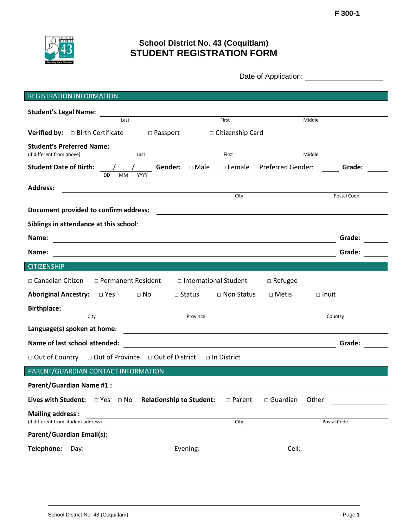**F 300-1**



## **School District No. 43 (Coquitlam) STUDENT REGISTRATION FORM**

| <b>REGISTRATION INFORMATION</b>                                                                                                                     |                    |                    |              |  |  |
|-----------------------------------------------------------------------------------------------------------------------------------------------------|--------------------|--------------------|--------------|--|--|
|                                                                                                                                                     |                    |                    |              |  |  |
| Student's Legal Name:<br>Last First                                                                                                                 |                    |                    | Middle       |  |  |
| <b>Verified by:</b> $\Box$ Birth Certificate $\Box$ Passport                                                                                        | □ Citizenship Card |                    |              |  |  |
|                                                                                                                                                     |                    |                    |              |  |  |
| <b>Student's Preferred Name:</b><br>Last<br>(if different from above)                                                                               | First              | Middle             |              |  |  |
| <b>Student Date of Birth:</b> $\begin{array}{ccc} \end{array}$ / Gender: $\Box$ Male $\Box$ Female Preferred Gender: Grade:<br>חח                   |                    |                    |              |  |  |
| <b>Address:</b><br><u> 1989 - Johann Stoff, deutscher Stoffen und der Stoffen und der Stoffen und der Stoffen und der Stoffen und de</u>            |                    |                    |              |  |  |
|                                                                                                                                                     | City               |                    | Postal Code  |  |  |
| Document provided to confirm address:<br><u> 1980 - John Stein, Amerikaansk politiker (* 1918)</u>                                                  |                    |                    |              |  |  |
| Siblings in attendance at this school:                                                                                                              |                    |                    |              |  |  |
| Name:<br><u> 1989 - Johann Stoff, deutscher Stoffen und der Stoffen und der Stoffen und der Stoffen und der Stoffen und der</u>                     |                    |                    | Grade:       |  |  |
| Name:<br><u> 1989 - Johann Stoff, deutscher Stoffen und der Stoffen und der Stoffen und der Stoffen und der Stoffen und de</u>                      |                    |                    | Grade:       |  |  |
| <b>CITIZENSHIP</b>                                                                                                                                  |                    |                    |              |  |  |
| □ Canadian Citizen □ Permanent Resident □ International Student                                                                                     |                    | $\Box$ Refugee     |              |  |  |
| <b>Aboriginal Ancestry:</b> □ Yes □ No □ Status                                                                                                     | □ Non Status       | $\Box$ Metis       | $\Box$ Inuit |  |  |
| <b>Birthplace:</b>                                                                                                                                  |                    |                    |              |  |  |
| City<br>Province                                                                                                                                    |                    |                    | Country      |  |  |
| Language(s) spoken at home:<br><u> Alexandria de la contrada de la contrada de la contrada de la contrada de la contrada de la contrada de la c</u> |                    |                    |              |  |  |
| Name of last school attended:                                                                                                                       |                    |                    | Grade:       |  |  |
| □ Out of Country □ Out of Province □ Out of District □ In District                                                                                  |                    |                    |              |  |  |
| PARENT/GUARDIAN CONTACT INFORMATION                                                                                                                 |                    |                    |              |  |  |
| <b>Parent/Guardian Name #1:</b>                                                                                                                     |                    |                    |              |  |  |
| Lives with Student: DYes<br><b>Relationship to Student:</b><br>$\Box$ No                                                                            | □ Parent           | $\square$ Guardian | Other:       |  |  |
| <b>Mailing address:</b>                                                                                                                             |                    |                    |              |  |  |
| (if different from student address)                                                                                                                 | City               |                    | Postal Code  |  |  |
| <b>Parent/Guardian Email(s):</b>                                                                                                                    |                    |                    |              |  |  |
| Telephone:<br>Day:<br>Evening:                                                                                                                      |                    | Cell:              |              |  |  |